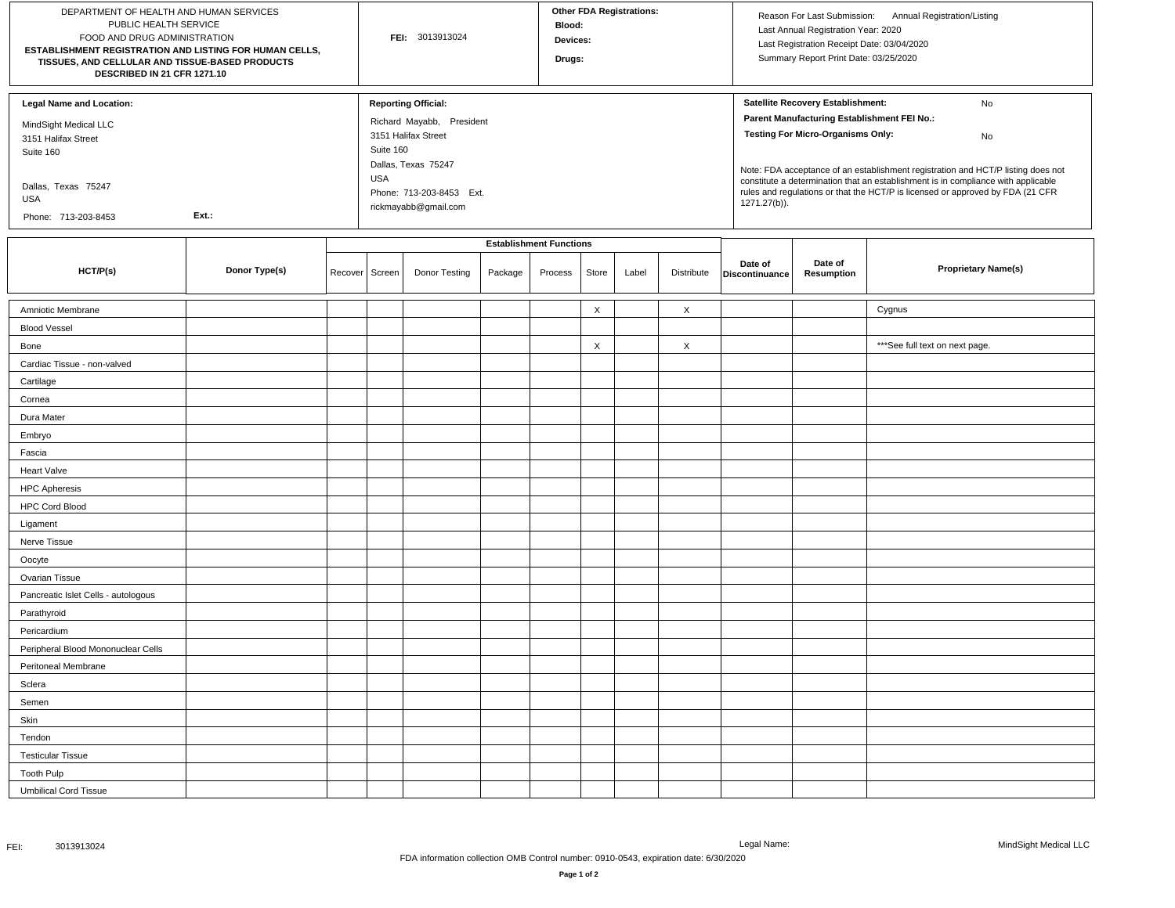| DEPARTMENT OF HEALTH AND HUMAN SERVICES<br>PUBLIC HEALTH SERVICE<br>FOOD AND DRUG ADMINISTRATION<br>ESTABLISHMENT REGISTRATION AND LISTING FOR HUMAN CELLS,<br>TISSUES, AND CELLULAR AND TISSUE-BASED PRODUCTS<br>DESCRIBED IN 21 CFR 1271.10 |               |                |                                | FEI: 3013913024                                                                                                                                                                      |         |         |                           | <b>Other FDA Registrations:</b> |                           |                           | Reason For Last Submission:<br>Annual Registration/Listing<br>Last Annual Registration Year: 2020<br>Last Registration Receipt Date: 03/04/2020<br>Summary Report Print Date: 03/25/2020                                                                                                                                                                                                                            |                                 |  |
|-----------------------------------------------------------------------------------------------------------------------------------------------------------------------------------------------------------------------------------------------|---------------|----------------|--------------------------------|--------------------------------------------------------------------------------------------------------------------------------------------------------------------------------------|---------|---------|---------------------------|---------------------------------|---------------------------|---------------------------|---------------------------------------------------------------------------------------------------------------------------------------------------------------------------------------------------------------------------------------------------------------------------------------------------------------------------------------------------------------------------------------------------------------------|---------------------------------|--|
| <b>Legal Name and Location:</b><br>MindSight Medical LLC<br>3151 Halifax Street<br>Suite 160<br>Dallas, Texas 75247<br>USA<br>Ext.:<br>Phone: 713-203-8453                                                                                    |               |                |                                | <b>Reporting Official:</b><br>Richard Mayabb, President<br>3151 Halifax Street<br>Suite 160<br>Dallas, Texas 75247<br><b>USA</b><br>Phone: 713-203-8453 Ext.<br>rickmayabb@gmail.com |         |         |                           |                                 |                           |                           | Satellite Recovery Establishment:<br>No<br>Parent Manufacturing Establishment FEI No.:<br><b>Testing For Micro-Organisms Only:</b><br>No<br>Note: FDA acceptance of an establishment registration and HCT/P listing does not<br>constitute a determination that an establishment is in compliance with applicable<br>rules and regulations or that the HCT/P is licensed or approved by FDA (21 CFR<br>1271.27(b)). |                                 |  |
|                                                                                                                                                                                                                                               |               |                | <b>Establishment Functions</b> |                                                                                                                                                                                      |         |         |                           |                                 |                           |                           |                                                                                                                                                                                                                                                                                                                                                                                                                     |                                 |  |
| HCT/P(s)                                                                                                                                                                                                                                      | Donor Type(s) | Recover Screen |                                | Donor Testing                                                                                                                                                                        | Package | Process | Store                     | Label                           | Distribute                | Date of<br>Discontinuance | Date of<br><b>Resumption</b>                                                                                                                                                                                                                                                                                                                                                                                        | <b>Proprietary Name(s)</b>      |  |
| Amniotic Membrane                                                                                                                                                                                                                             |               |                |                                |                                                                                                                                                                                      |         |         | $\boldsymbol{\mathsf{X}}$ |                                 | $\times$                  |                           |                                                                                                                                                                                                                                                                                                                                                                                                                     | Cygnus                          |  |
| <b>Blood Vessel</b>                                                                                                                                                                                                                           |               |                |                                |                                                                                                                                                                                      |         |         |                           |                                 |                           |                           |                                                                                                                                                                                                                                                                                                                                                                                                                     |                                 |  |
| Bone                                                                                                                                                                                                                                          |               |                |                                |                                                                                                                                                                                      |         |         | $\boldsymbol{\mathsf{X}}$ |                                 | $\boldsymbol{\mathsf{X}}$ |                           |                                                                                                                                                                                                                                                                                                                                                                                                                     | *** See full text on next page. |  |
| Cardiac Tissue - non-valved                                                                                                                                                                                                                   |               |                |                                |                                                                                                                                                                                      |         |         |                           |                                 |                           |                           |                                                                                                                                                                                                                                                                                                                                                                                                                     |                                 |  |
| Cartilage                                                                                                                                                                                                                                     |               |                |                                |                                                                                                                                                                                      |         |         |                           |                                 |                           |                           |                                                                                                                                                                                                                                                                                                                                                                                                                     |                                 |  |
| Cornea                                                                                                                                                                                                                                        |               |                |                                |                                                                                                                                                                                      |         |         |                           |                                 |                           |                           |                                                                                                                                                                                                                                                                                                                                                                                                                     |                                 |  |
| Dura Mater                                                                                                                                                                                                                                    |               |                |                                |                                                                                                                                                                                      |         |         |                           |                                 |                           |                           |                                                                                                                                                                                                                                                                                                                                                                                                                     |                                 |  |
| Embryo                                                                                                                                                                                                                                        |               |                |                                |                                                                                                                                                                                      |         |         |                           |                                 |                           |                           |                                                                                                                                                                                                                                                                                                                                                                                                                     |                                 |  |
| Fascia                                                                                                                                                                                                                                        |               |                |                                |                                                                                                                                                                                      |         |         |                           |                                 |                           |                           |                                                                                                                                                                                                                                                                                                                                                                                                                     |                                 |  |
| <b>Heart Valve</b>                                                                                                                                                                                                                            |               |                |                                |                                                                                                                                                                                      |         |         |                           |                                 |                           |                           |                                                                                                                                                                                                                                                                                                                                                                                                                     |                                 |  |
| <b>HPC Apheresis</b>                                                                                                                                                                                                                          |               |                |                                |                                                                                                                                                                                      |         |         |                           |                                 |                           |                           |                                                                                                                                                                                                                                                                                                                                                                                                                     |                                 |  |
| <b>HPC Cord Blood</b>                                                                                                                                                                                                                         |               |                |                                |                                                                                                                                                                                      |         |         |                           |                                 |                           |                           |                                                                                                                                                                                                                                                                                                                                                                                                                     |                                 |  |
| Ligament                                                                                                                                                                                                                                      |               |                |                                |                                                                                                                                                                                      |         |         |                           |                                 |                           |                           |                                                                                                                                                                                                                                                                                                                                                                                                                     |                                 |  |
| Nerve Tissue                                                                                                                                                                                                                                  |               |                |                                |                                                                                                                                                                                      |         |         |                           |                                 |                           |                           |                                                                                                                                                                                                                                                                                                                                                                                                                     |                                 |  |
| Oocyte                                                                                                                                                                                                                                        |               |                |                                |                                                                                                                                                                                      |         |         |                           |                                 |                           |                           |                                                                                                                                                                                                                                                                                                                                                                                                                     |                                 |  |
| Ovarian Tissue                                                                                                                                                                                                                                |               |                |                                |                                                                                                                                                                                      |         |         |                           |                                 |                           |                           |                                                                                                                                                                                                                                                                                                                                                                                                                     |                                 |  |
| Pancreatic Islet Cells - autologous                                                                                                                                                                                                           |               |                |                                |                                                                                                                                                                                      |         |         |                           |                                 |                           |                           |                                                                                                                                                                                                                                                                                                                                                                                                                     |                                 |  |
| Parathyroid                                                                                                                                                                                                                                   |               |                |                                |                                                                                                                                                                                      |         |         |                           |                                 |                           |                           |                                                                                                                                                                                                                                                                                                                                                                                                                     |                                 |  |
| Pericardium                                                                                                                                                                                                                                   |               |                |                                |                                                                                                                                                                                      |         |         |                           |                                 |                           |                           |                                                                                                                                                                                                                                                                                                                                                                                                                     |                                 |  |
| Peripheral Blood Mononuclear Cells                                                                                                                                                                                                            |               |                |                                |                                                                                                                                                                                      |         |         |                           |                                 |                           |                           |                                                                                                                                                                                                                                                                                                                                                                                                                     |                                 |  |
| Peritoneal Membrane                                                                                                                                                                                                                           |               |                |                                |                                                                                                                                                                                      |         |         |                           |                                 |                           |                           |                                                                                                                                                                                                                                                                                                                                                                                                                     |                                 |  |
| Sclera                                                                                                                                                                                                                                        |               |                |                                |                                                                                                                                                                                      |         |         |                           |                                 |                           |                           |                                                                                                                                                                                                                                                                                                                                                                                                                     |                                 |  |
| Semen                                                                                                                                                                                                                                         |               |                |                                |                                                                                                                                                                                      |         |         |                           |                                 |                           |                           |                                                                                                                                                                                                                                                                                                                                                                                                                     |                                 |  |
| Skin                                                                                                                                                                                                                                          |               |                |                                |                                                                                                                                                                                      |         |         |                           |                                 |                           |                           |                                                                                                                                                                                                                                                                                                                                                                                                                     |                                 |  |
| Tendon                                                                                                                                                                                                                                        |               |                |                                |                                                                                                                                                                                      |         |         |                           |                                 |                           |                           |                                                                                                                                                                                                                                                                                                                                                                                                                     |                                 |  |
| <b>Testicular Tissue</b>                                                                                                                                                                                                                      |               |                |                                |                                                                                                                                                                                      |         |         |                           |                                 |                           |                           |                                                                                                                                                                                                                                                                                                                                                                                                                     |                                 |  |
| <b>Tooth Pulp</b>                                                                                                                                                                                                                             |               |                |                                |                                                                                                                                                                                      |         |         |                           |                                 |                           |                           |                                                                                                                                                                                                                                                                                                                                                                                                                     |                                 |  |
| <b>Umbilical Cord Tissue</b>                                                                                                                                                                                                                  |               |                |                                |                                                                                                                                                                                      |         |         |                           |                                 |                           |                           |                                                                                                                                                                                                                                                                                                                                                                                                                     |                                 |  |